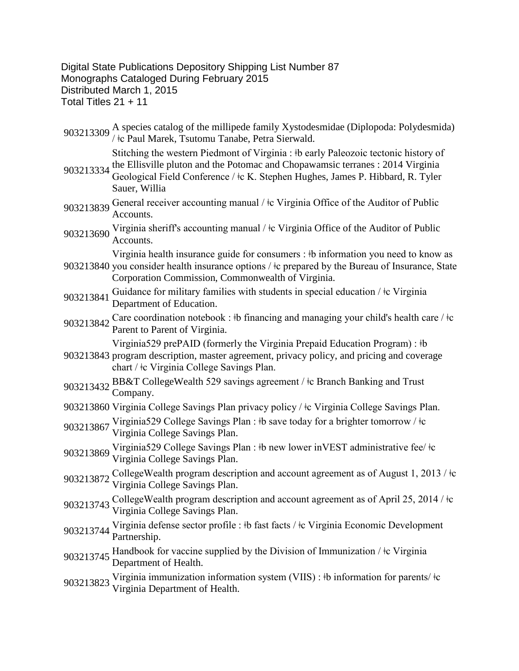Digital State Publications Depository Shipping List Number 87 Monographs Cataloged During February 2015 Distributed March 1, 2015 Total Titles 21 + 11

903213309 A species catalog of the millipede family Xystodesmidae (Diplopoda: Polydesmida)<br>
/  $\frac{1}{t}$ c Paul Marek, Tsutomu Tanabe, Petra Sierwald.

Stitching the western Piedmont of Virginia : ǂb early Paleozoic tectonic history of

- 903213334 the Ellisville pluton and the Potomac and Chopawamsic terranes : 2014 Virginia<br>903213334 Coological Field Conference (de K. Stanber Unches, James B. Uibbert, B. Triba Geological Field Conference / ǂc K. Stephen Hughes, James P. Hibbard, R. Tyler Sauer, Willia
- 903213839 General receiver accounting manual /  $\pm c$  Virginia Office of the Auditor of Public Accounts.
- 903213690 Virginia sheriff's accounting manual /  $\pm$ c Virginia Office of the Auditor of Public Accounts.

903213840 you consider health insurance options / ǂc prepared by the Bureau of Insurance, State Virginia health insurance guide for consumers : ǂb information you need to know as Corporation Commission, Commonwealth of Virginia.

- <sup>903213841</sup> Guidance for military families with students in special education / ǂc Virginia Department of Education.
- 903213842 Care coordination notebook : ‡b financing and managing your child's health care / ‡c Parent to Parent of Virginia.

Virginia529 prePAID (formerly the Virginia Prepaid Education Program) : ǂb

- 903213843 program description, master agreement, privacy policy, and pricing and coverage chart / ǂc Virginia College Savings Plan.
- 903213432 BB&T CollegeWealth 529 savings agreement / ‡c Branch Banking and Trust Company.
- 903213860 Virginia College Savings Plan privacy policy / ǂc Virginia College Savings Plan.
- 903213867 Virginia529 College Savings Plan : ‡b save today for a brighter tomorrow / ‡c Virginia College Savings Plan.
- <sup>903213869</sup> Virginia529 College Savings Plan : ǂb new lower inVEST administrative fee/ ǂc Virginia College Savings Plan.
- 903213872 CollegeWealth program description and account agreement as of August 1, 2013 / ‡c Virginia College Savings Plan.
- 903213743 CollegeWealth program description and account agreement as of April 25, 2014 / ‡c Virginia College Savings Plan.
- <sup>903213744</sup> Virginia defense sector profile : ǂb fast facts / ǂc Virginia Economic Development Partnership.
- 903213745 Handbook for vaccine supplied by the Division of Immunization / ‡c Virginia<br>Department of Health.
- 903213823 Virginia immunization information system (VIIS) : ‡b information for parents/ ‡c Virginia Department of Health.